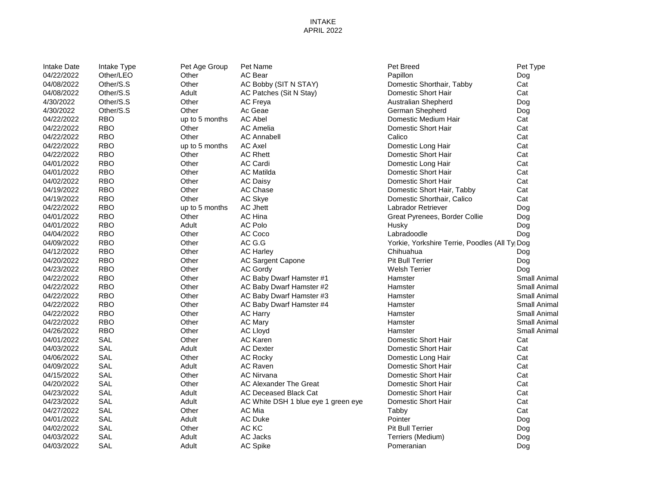### INTAKE APRIL 2022

| <b>Intake Date</b> | Intake Type | Pet Age Group  | Pet Name                            | Pet Breed                                     | Pet Type     |
|--------------------|-------------|----------------|-------------------------------------|-----------------------------------------------|--------------|
| 04/22/2022         | Other/LEO   | Other          | <b>AC Bear</b>                      | Papillon                                      | Dog          |
| 04/08/2022         | Other/S.S   | Other          | AC Bobby (SIT N STAY)               | Domestic Shorthair, Tabby                     | Cat          |
| 04/08/2022         | Other/S.S   | Adult          | AC Patches (Sit N Stay)             | Domestic Short Hair                           | Cat          |
| 4/30/2022          | Other/S.S   | Other          | AC Freya                            | Australian Shepherd                           | Dog          |
| 4/30/2022          | Other/S.S   | Other          | Ac Geae                             | German Shepherd                               | Dog          |
| 04/22/2022         | <b>RBO</b>  | up to 5 months | <b>AC Abel</b>                      | Domestic Medium Hair                          | Cat          |
| 04/22/2022         | <b>RBO</b>  | Other          | <b>AC Amelia</b>                    | Domestic Short Hair                           | Cat          |
| 04/22/2022         | <b>RBO</b>  | Other          | <b>AC Annabell</b>                  | Calico                                        | Cat          |
| 04/22/2022         | <b>RBO</b>  | up to 5 months | <b>AC Axel</b>                      | Domestic Long Hair                            | Cat          |
| 04/22/2022         | <b>RBO</b>  | Other          | <b>AC Rhett</b>                     | Domestic Short Hair                           | Cat          |
| 04/01/2022         | <b>RBO</b>  | Other          | <b>AC Cardi</b>                     | Domestic Long Hair                            | Cat          |
| 04/01/2022         | <b>RBO</b>  | Other          | <b>AC Matilda</b>                   | Domestic Short Hair                           | Cat          |
| 04/02/2022         | <b>RBO</b>  | Other          | <b>AC Daisy</b>                     | Domestic Short Hair                           | Cat          |
| 04/19/2022         | <b>RBO</b>  | Other          | AC Chase                            | Domestic Short Hair, Tabby                    | Cat          |
| 04/19/2022         | <b>RBO</b>  | Other          | AC Skye                             | Domestic Shorthair, Calico                    | Cat          |
| 04/22/2022         | <b>RBO</b>  | up to 5 months | <b>AC Jhett</b>                     | Labrador Retriever                            | Dog          |
| 04/01/2022         | <b>RBO</b>  | Other          | AC Hina                             | Great Pyrenees, Border Collie                 | Dog          |
| 04/01/2022         | <b>RBO</b>  | Adult          | <b>AC Polo</b>                      | Husky                                         | Dog          |
| 04/04/2022         | <b>RBO</b>  | Other          | AC Coco                             | Labradoodle                                   | Dog          |
| 04/09/2022         | <b>RBO</b>  | Other          | AC G.G                              | Yorkie, Yorkshire Terrie, Poodles (All Ty Dog |              |
| 04/12/2022         | <b>RBO</b>  | Other          | <b>AC Harley</b>                    | Chihuahua                                     | Dog          |
| 04/20/2022         | <b>RBO</b>  | Other          | AC Sargent Capone                   | <b>Pit Bull Terrier</b>                       | Dog          |
| 04/23/2022         | <b>RBO</b>  | Other          | AC Gordy                            | <b>Welsh Terrier</b>                          | Dog          |
| 04/22/2022         | <b>RBO</b>  | Other          | AC Baby Dwarf Hamster #1            | Hamster                                       | Small Animal |
| 04/22/2022         | <b>RBO</b>  | Other          | AC Baby Dwarf Hamster #2            | Hamster                                       | Small Animal |
| 04/22/2022         | <b>RBO</b>  | Other          | AC Baby Dwarf Hamster #3            | Hamster                                       | Small Animal |
| 04/22/2022         | <b>RBO</b>  | Other          | AC Baby Dwarf Hamster #4            | Hamster                                       | Small Animal |
| 04/22/2022         | <b>RBO</b>  | Other          | <b>AC Harry</b>                     | Hamster                                       | Small Animal |
| 04/22/2022         | <b>RBO</b>  | Other          | <b>AC Mary</b>                      | Hamster                                       | Small Animal |
| 04/26/2022         | <b>RBO</b>  | Other          | <b>AC Lloyd</b>                     | Hamster                                       | Small Animal |
| 04/01/2022         | SAL         | Other          | <b>AC Karen</b>                     | Domestic Short Hair                           | Cat          |
| 04/03/2022         | SAL         | Adult          | <b>AC Dexter</b>                    | Domestic Short Hair                           | Cat          |
| 04/06/2022         | SAL         | Other          | <b>AC Rocky</b>                     | Domestic Long Hair                            | Cat          |
| 04/09/2022         | <b>SAL</b>  | Adult          | <b>AC Raven</b>                     | Domestic Short Hair                           | Cat          |
| 04/15/2022         | SAL         | Other          | <b>AC Nirvana</b>                   | Domestic Short Hair                           | Cat          |
| 04/20/2022         | SAL         | Other          | AC Alexander The Great              | Domestic Short Hair                           | Cat          |
| 04/23/2022         | SAL         | Adult          | AC Deceased Black Cat               | Domestic Short Hair                           | Cat          |
| 04/23/2022         | SAL         | Adult          | AC White DSH 1 blue eye 1 green eye | Domestic Short Hair                           | Cat          |
| 04/27/2022         | SAL         | Other          | AC Mia                              | Tabby                                         | Cat          |
| 04/01/2022         | SAL         | Adult          | AC Duke                             | Pointer                                       | Dog          |
| 04/02/2022         | <b>SAL</b>  | Other          | AC KC                               | Pit Bull Terrier                              | Dog          |
| 04/03/2022         | SAL         | Adult          | AC Jacks                            | Terriers (Medium)                             | Dog          |
| 04/03/2022         | SAL         | Adult          | <b>AC Spike</b>                     | Pomeranian                                    | Dog          |
|                    |             |                |                                     |                                               |              |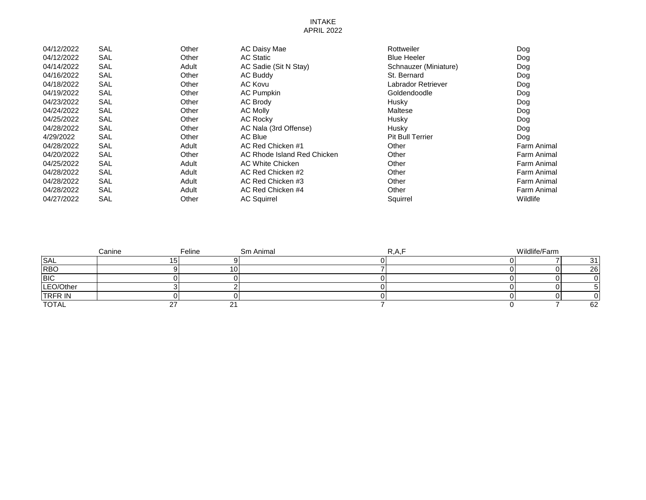#### INTAKE APRIL 2022

| 04/12/2022 | <b>SAL</b> | Other | AC Daisy Mae                | Rottweiler              | Dog         |
|------------|------------|-------|-----------------------------|-------------------------|-------------|
| 04/12/2022 | <b>SAL</b> | Other | <b>AC Static</b>            | <b>Blue Heeler</b>      | Dog         |
| 04/14/2022 | SAL        | Adult | AC Sadie (Sit N Stay)       | Schnauzer (Miniature)   | Dog         |
| 04/16/2022 | SAL        | Other | AC Buddy                    | St. Bernard             | Dog         |
| 04/18/2022 | SAL        | Other | AC Kovu                     | Labrador Retriever      | Dog         |
| 04/19/2022 | <b>SAL</b> | Other | <b>AC Pumpkin</b>           | Goldendoodle            | Dog         |
| 04/23/2022 | <b>SAL</b> | Other | AC Brody                    | Husky                   | Dog         |
| 04/24/2022 | <b>SAL</b> | Other | <b>AC Molly</b>             | Maltese                 | Dog         |
| 04/25/2022 | <b>SAL</b> | Other | <b>AC Rocky</b>             | Husky                   | Dog         |
| 04/28/2022 | SAL        | Other | AC Nala (3rd Offense)       | Husky                   | Dog         |
| 4/29/2022  | <b>SAL</b> | Other | AC Blue                     | <b>Pit Bull Terrier</b> | Dog         |
| 04/28/2022 | SAL        | Adult | AC Red Chicken #1           | Other                   | Farm Animal |
| 04/20/2022 | SAL        | Other | AC Rhode Island Red Chicken | Other                   | Farm Animal |
| 04/25/2022 | <b>SAL</b> | Adult | AC White Chicken            | Other                   | Farm Animal |
| 04/28/2022 | <b>SAL</b> | Adult | AC Red Chicken #2           | Other                   | Farm Animal |
| 04/28/2022 | SAL        | Adult | AC Red Chicken #3           | Other                   | Farm Animal |
| 04/28/2022 | <b>SAL</b> | Adult | AC Red Chicken #4           | Other                   | Farm Animal |
| 04/27/2022 | <b>SAL</b> | Other | <b>AC Squirrel</b>          | Squirrel                | Wildlife    |

|                | Canine | Feline | Sm Animal | K.A.I | Wildlife/Farm |    |
|----------------|--------|--------|-----------|-------|---------------|----|
| <b>SAL</b>     |        |        |           |       |               |    |
| <b>RBO</b>     |        |        |           |       |               | 26 |
| <b>BIC</b>     |        |        |           |       |               |    |
| LEO/Other      |        |        |           |       |               |    |
| <b>TRFR IN</b> |        |        |           |       |               |    |
| <b>TOTAL</b>   |        | _ _    |           |       |               | 62 |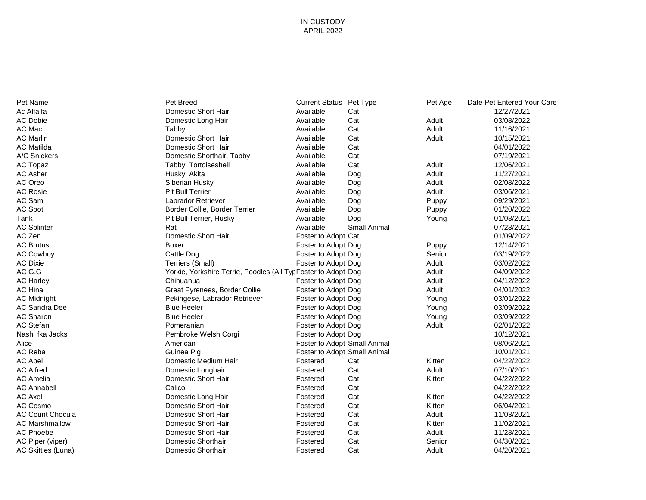### IN CUSTODY APRIL 2022

| Pet Name                | Pet Breed                                                      | Current Status Pet Type      |                     | Pet Age | Date Pet Entered Your Care |
|-------------------------|----------------------------------------------------------------|------------------------------|---------------------|---------|----------------------------|
| Ac Alfalfa              | Domestic Short Hair                                            | Available                    | Cat                 |         | 12/27/2021                 |
| <b>AC Dobie</b>         | Domestic Long Hair                                             | Available                    | Cat                 | Adult   | 03/08/2022                 |
| AC Mac                  | Tabby                                                          | Available                    | Cat                 | Adult   | 11/16/2021                 |
| <b>AC Marlin</b>        | Domestic Short Hair                                            | Available                    | Cat                 | Adult   | 10/15/2021                 |
| <b>AC Matilda</b>       | Domestic Short Hair                                            | Available                    | Cat                 |         | 04/01/2022                 |
| A/C Snickers            | Domestic Shorthair, Tabby                                      | Available                    | Cat                 |         | 07/19/2021                 |
| AC Topaz                | Tabby, Tortoiseshell                                           | Available                    | Cat                 | Adult   | 12/06/2021                 |
| <b>AC Asher</b>         | Husky, Akita                                                   | Available                    | Dog                 | Adult   | 11/27/2021                 |
| AC Oreo                 | Siberian Husky                                                 | Available                    | Dog                 | Adult   | 02/08/2022                 |
| <b>AC Rosie</b>         | <b>Pit Bull Terrier</b>                                        | Available                    | Dog                 | Adult   | 03/06/2021                 |
| AC Sam                  | Labrador Retriever                                             | Available                    | Dog                 | Puppy   | 09/29/2021                 |
| <b>AC Spot</b>          | Border Collie, Border Terrier                                  | Available                    | Dog                 | Puppy   | 01/20/2022                 |
| Tank                    | Pit Bull Terrier, Husky                                        | Available                    | Dog                 | Young   | 01/08/2021                 |
| <b>AC Splinter</b>      | Rat                                                            | Available                    | <b>Small Animal</b> |         | 07/23/2021                 |
| AC Zen                  | Domestic Short Hair                                            | Foster to Adopt Cat          |                     |         | 01/09/2022                 |
| <b>AC Brutus</b>        | Boxer                                                          | Foster to Adopt Dog          |                     | Puppy   | 12/14/2021                 |
| <b>AC Cowboy</b>        | Cattle Dog                                                     | Foster to Adopt Dog          |                     | Senior  | 03/19/2022                 |
| <b>AC Dixie</b>         | Terriers (Small)                                               | Foster to Adopt Dog          |                     | Adult   | 03/02/2022                 |
| AC G.G                  | Yorkie, Yorkshire Terrie, Poodles (All Tyr Foster to Adopt Dog |                              |                     | Adult   | 04/09/2022                 |
| <b>AC Harley</b>        | Chihuahua                                                      | Foster to Adopt Dog          |                     | Adult   | 04/12/2022                 |
| AC Hina                 | Great Pyrenees, Border Collie                                  | Foster to Adopt Dog          |                     | Adult   | 04/01/2022                 |
| <b>AC Midnight</b>      | Pekingese, Labrador Retriever                                  | Foster to Adopt Dog          |                     | Young   | 03/01/2022                 |
| AC Sandra Dee           | <b>Blue Heeler</b>                                             | Foster to Adopt Dog          |                     | Young   | 03/09/2022                 |
| AC Sharon               | <b>Blue Heeler</b>                                             | Foster to Adopt Dog          |                     | Young   | 03/09/2022                 |
| <b>AC Stefan</b>        | Pomeranian                                                     | Foster to Adopt Dog          |                     | Adult   | 02/01/2022                 |
| Nash fka Jacks          | Pembroke Welsh Corgi                                           | Foster to Adopt Dog          |                     |         | 10/12/2021                 |
| Alice                   | American                                                       | Foster to Adopt Small Animal |                     |         | 08/06/2021                 |
| AC Reba                 | Guinea Pig                                                     | Foster to Adopt Small Animal |                     |         | 10/01/2021                 |
| <b>AC Abel</b>          | Domestic Medium Hair                                           | Fostered                     | Cat                 | Kitten  | 04/22/2022                 |
| <b>AC Alfred</b>        | Domestic Longhair                                              | Fostered                     | Cat                 | Adult   | 07/10/2021                 |
| <b>AC Amelia</b>        | Domestic Short Hair                                            | Fostered                     | Cat                 | Kitten  | 04/22/2022                 |
| <b>AC Annabell</b>      | Calico                                                         | Fostered                     | Cat                 |         | 04/22/2022                 |
| <b>AC Axel</b>          | Domestic Long Hair                                             | Fostered                     | Cat                 | Kitten  | 04/22/2022                 |
| AC Cosmo                | Domestic Short Hair                                            | Fostered                     | Cat                 | Kitten  | 06/04/2021                 |
| <b>AC Count Chocula</b> | Domestic Short Hair                                            | Fostered                     | Cat                 | Adult   | 11/03/2021                 |
| <b>AC Marshmallow</b>   | Domestic Short Hair                                            | Fostered                     | Cat                 | Kitten  | 11/02/2021                 |
| <b>AC Phoebe</b>        | Domestic Short Hair                                            | Fostered                     | Cat                 | Adult   | 11/28/2021                 |
| AC Piper (viper)        | <b>Domestic Shorthair</b>                                      | Fostered                     | Cat                 | Senior  | 04/30/2021                 |
| AC Skittles (Luna)      | Domestic Shorthair                                             | Fostered                     | Cat                 | Adult   | 04/20/2021                 |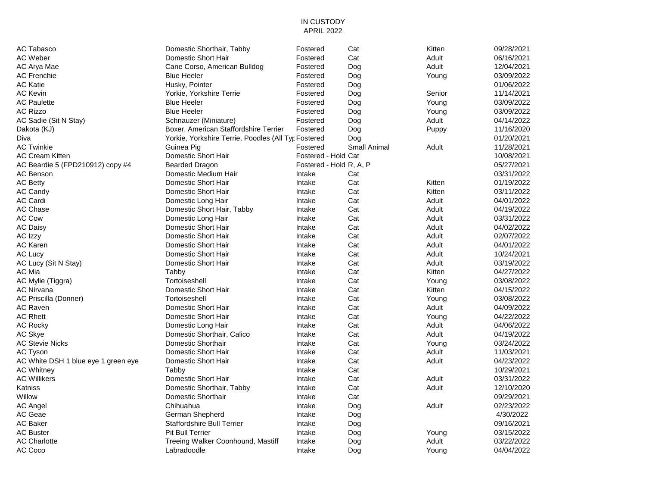#### IN CUSTODY APRIL 2022

| AC Tabasco                          | Domestic Shorthair, Tabby                           | Fostered            | Cat                     | Kitten | 09/28/2021 |
|-------------------------------------|-----------------------------------------------------|---------------------|-------------------------|--------|------------|
| AC Weber                            | Domestic Short Hair                                 | Fostered            | Cat                     | Adult  | 06/16/2021 |
| AC Arya Mae                         | Cane Corso, American Bulldog                        | Fostered            | Dog                     | Adult  | 12/04/2021 |
| <b>AC Frenchie</b>                  | <b>Blue Heeler</b>                                  | Fostered            | Dog                     | Young  | 03/09/2022 |
| AC Katie                            | Husky, Pointer                                      | Fostered            | Dog                     |        | 01/06/2022 |
| AC Kevin                            | Yorkie, Yorkshire Terrie                            | Fostered            | Dog                     | Senior | 11/14/2021 |
| <b>AC Paulette</b>                  | <b>Blue Heeler</b>                                  | Fostered            | Dog                     | Young  | 03/09/2022 |
| AC Rizzo                            | <b>Blue Heeler</b>                                  | Fostered            | Dog                     | Young  | 03/09/2022 |
| AC Sadie (Sit N Stay)               | Schnauzer (Miniature)                               | Fostered            | Dog                     | Adult  | 04/14/2022 |
| Dakota (KJ)                         | Boxer, American Staffordshire Terrier               | Fostered            | Dog                     | Puppy  | 11/16/2020 |
| Diva                                | Yorkie, Yorkshire Terrie, Poodles (All Tyr Fostered |                     | Dog                     |        | 01/20/2021 |
| <b>AC Twinkie</b>                   | Guinea Pig                                          | Fostered            | Small Animal            | Adult  | 11/28/2021 |
| AC Cream Kitten                     | Domestic Short Hair                                 | Fostered - Hold Cat |                         |        | 10/08/2021 |
| AC Beardie 5 (FPD210912) copy #4    | <b>Bearded Dragon</b>                               |                     | Fostered - Hold R, A, P |        | 05/27/2021 |
| AC Benson                           | Domestic Medium Hair                                | Intake              | Cat                     |        | 03/31/2022 |
| <b>AC Betty</b>                     | Domestic Short Hair                                 | Intake              | Cat                     | Kitten | 01/19/2022 |
| <b>AC Candy</b>                     | Domestic Short Hair                                 | Intake              | Cat                     | Kitten | 03/11/2022 |
| AC Cardi                            | Domestic Long Hair                                  | Intake              | Cat                     | Adult  | 04/01/2022 |
| AC Chase                            | Domestic Short Hair, Tabby                          | Intake              | Cat                     | Adult  | 04/19/2022 |
| AC Cow                              | Domestic Long Hair                                  | Intake              | Cat                     | Adult  | 03/31/2022 |
| AC Daisy                            | Domestic Short Hair                                 | Intake              | Cat                     | Adult  | 04/02/2022 |
| AC Izzy                             | Domestic Short Hair                                 | Intake              | Cat                     | Adult  | 02/07/2022 |
| AC Karen                            | Domestic Short Hair                                 | Intake              | Cat                     | Adult  | 04/01/2022 |
| AC Lucy                             | Domestic Short Hair                                 | Intake              | Cat                     | Adult  | 10/24/2021 |
| AC Lucy (Sit N Stay)                | Domestic Short Hair                                 | Intake              | Cat                     | Adult  | 03/19/2022 |
| AC Mia                              | Tabby                                               | Intake              | Cat                     | Kitten | 04/27/2022 |
| AC Mylie (Tiggra)                   | Tortoiseshell                                       | Intake              | Cat                     | Young  | 03/08/2022 |
| AC Nirvana                          | Domestic Short Hair                                 | Intake              | Cat                     | Kitten | 04/15/2022 |
| AC Priscilla (Donner)               | Tortoiseshell                                       | Intake              | Cat                     | Young  | 03/08/2022 |
| AC Raven                            | Domestic Short Hair                                 | Intake              | Cat                     | Adult  | 04/09/2022 |
| <b>AC Rhett</b>                     | Domestic Short Hair                                 | Intake              | Cat                     | Young  | 04/22/2022 |
| AC Rocky                            | Domestic Long Hair                                  | Intake              | Cat                     | Adult  | 04/06/2022 |
| AC Skye                             | Domestic Shorthair, Calico                          | Intake              | Cat                     | Adult  | 04/19/2022 |
| <b>AC Stevie Nicks</b>              | Domestic Shorthair                                  | Intake              | Cat                     | Young  | 03/24/2022 |
| AC Tyson                            | Domestic Short Hair                                 | Intake              | Cat                     | Adult  | 11/03/2021 |
| AC White DSH 1 blue eye 1 green eye | Domestic Short Hair                                 | Intake              | Cat                     | Adult  | 04/23/2022 |
| AC Whitney                          | Tabby                                               | Intake              | Cat                     |        | 10/29/2021 |
| AC Willikers                        | Domestic Short Hair                                 | Intake              | Cat                     | Adult  | 03/31/2022 |
| Katniss                             | Domestic Shorthair, Tabby                           | Intake              | Cat                     | Adult  | 12/10/2020 |
| Willow                              | Domestic Shorthair                                  | Intake              | Cat                     |        | 09/29/2021 |
| AC Angel                            | Chihuahua                                           | Intake              | Dog                     | Adult  | 02/23/2022 |
| AC Geae                             | German Shepherd                                     | Intake              | Dog                     |        | 4/30/2022  |
| AC Baker                            | <b>Staffordshire Bull Terrier</b>                   | Intake              | Dog                     |        | 09/16/2021 |
| <b>AC Buster</b>                    | <b>Pit Bull Terrier</b>                             | Intake              | Dog                     | Young  | 03/15/2022 |
| <b>AC Charlotte</b>                 | Treeing Walker Coonhound, Mastiff                   | Intake              | Dog                     | Adult  | 03/22/2022 |
| AC Coco                             | Labradoodle                                         | Intake              | Dog                     | Young  | 04/04/2022 |
|                                     |                                                     |                     |                         |        |            |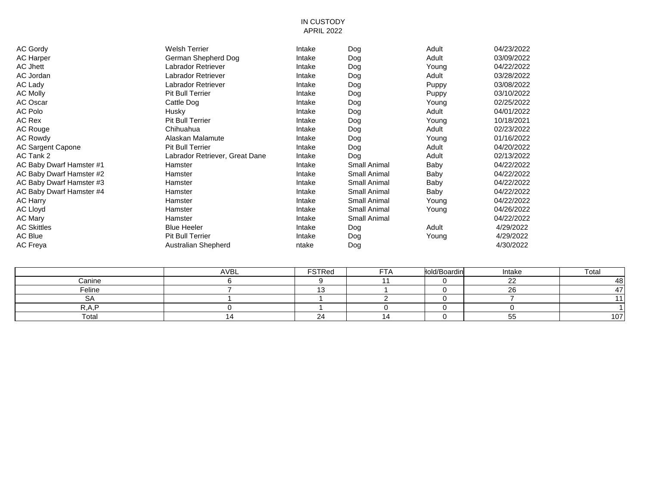#### IN CUSTODY APRIL 2022

| AC Gordy                 | <b>Welsh Terrier</b>           | Intake | Dog          | Adult | 04/23/2022 |
|--------------------------|--------------------------------|--------|--------------|-------|------------|
| <b>AC Harper</b>         | German Shepherd Dog            | Intake | Dog          | Adult | 03/09/2022 |
| AC Jhett                 | Labrador Retriever             | Intake | Dog          | Young | 04/22/2022 |
| <b>AC Jordan</b>         | Labrador Retriever             | Intake | Dog          | Adult | 03/28/2022 |
| <b>AC Lady</b>           | Labrador Retriever             | Intake | Dog          | Puppy | 03/08/2022 |
| <b>AC Molly</b>          | <b>Pit Bull Terrier</b>        | Intake | Dog          | Puppy | 03/10/2022 |
| AC Oscar                 | Cattle Dog                     | Intake | Dog          | Young | 02/25/2022 |
| AC Polo                  | Husky                          | Intake | Dog          | Adult | 04/01/2022 |
| AC Rex                   | <b>Pit Bull Terrier</b>        | Intake | Dog          | Young | 10/18/2021 |
| AC Rouge                 | Chihuahua                      | Intake | Dog          | Adult | 02/23/2022 |
| <b>AC Rowdy</b>          | Alaskan Malamute               | Intake | Dog          | Young | 01/16/2022 |
| AC Sargent Capone        | <b>Pit Bull Terrier</b>        | Intake | Dog          | Adult | 04/20/2022 |
| AC Tank 2                | Labrador Retriever, Great Dane | Intake | Dog          | Adult | 02/13/2022 |
| AC Baby Dwarf Hamster #1 | Hamster                        | Intake | Small Animal | Baby  | 04/22/2022 |
| AC Baby Dwarf Hamster #2 | Hamster                        | Intake | Small Animal | Baby  | 04/22/2022 |
| AC Baby Dwarf Hamster #3 | Hamster                        | Intake | Small Animal | Baby  | 04/22/2022 |
| AC Baby Dwarf Hamster #4 | Hamster                        | Intake | Small Animal | Baby  | 04/22/2022 |
| AC Harry                 | Hamster                        | Intake | Small Animal | Young | 04/22/2022 |
| AC Lloyd                 | Hamster                        | Intake | Small Animal | Young | 04/26/2022 |
| AC Mary                  | Hamster                        | Intake | Small Animal |       | 04/22/2022 |
| AC Skittles              | <b>Blue Heeler</b>             | Intake | Dog          | Adult | 4/29/2022  |
| AC Blue                  | <b>Pit Bull Terrier</b>        | Intake | Dog          | Young | 4/29/2022  |
| AC Freya                 | Australian Shepherd            | ntake  | Dog          |       | 4/30/2022  |
|                          |                                |        |              |       |            |

|        | AVBL | <b>FSTRed</b>            | $-+$ $\sim$ | lold/Boardin | Intake        | Total |
|--------|------|--------------------------|-------------|--------------|---------------|-------|
| Canine |      |                          |             |              | $\sim$        |       |
| Feline |      |                          |             |              | $\sim$<br>∼   |       |
| ◡      |      |                          |             |              |               |       |
| D A D  |      |                          |             |              |               |       |
| Total  |      | $\overline{\phantom{0}}$ |             |              | --<br>n<br>u. | 107   |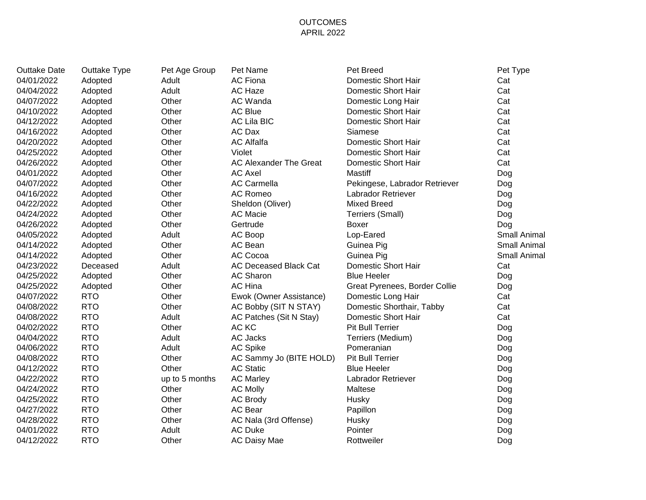## OUTCOMES APRIL 2022

| <b>Outtake Date</b> | Outtake Type | Pet Age Group  | Pet Name                     | Pet Breed                     | Pet Type     |
|---------------------|--------------|----------------|------------------------------|-------------------------------|--------------|
| 04/01/2022          | Adopted      | Adult          | <b>AC Fiona</b>              | Domestic Short Hair           | Cat          |
| 04/04/2022          | Adopted      | Adult          | AC Haze                      | Domestic Short Hair           | Cat          |
| 04/07/2022          | Adopted      | Other          | AC Wanda                     | Domestic Long Hair            | Cat          |
| 04/10/2022          | Adopted      | Other          | <b>AC Blue</b>               | Domestic Short Hair           | Cat          |
| 04/12/2022          | Adopted      | Other          | <b>AC Lila BIC</b>           | Domestic Short Hair           | Cat          |
| 04/16/2022          | Adopted      | Other          | AC Dax                       | Siamese                       | Cat          |
| 04/20/2022          | Adopted      | Other          | <b>AC Alfalfa</b>            | Domestic Short Hair           | Cat          |
| 04/25/2022          | Adopted      | Other          | Violet                       | Domestic Short Hair           | Cat          |
| 04/26/2022          | Adopted      | Other          | AC Alexander The Great       | Domestic Short Hair           | Cat          |
| 04/01/2022          | Adopted      | Other          | <b>AC Axel</b>               | Mastiff                       | Dog          |
| 04/07/2022          | Adopted      | Other          | <b>AC Carmella</b>           | Pekingese, Labrador Retriever | Dog          |
| 04/16/2022          | Adopted      | Other          | <b>AC Romeo</b>              | Labrador Retriever            | Dog          |
| 04/22/2022          | Adopted      | Other          | Sheldon (Oliver)             | <b>Mixed Breed</b>            | Dog          |
| 04/24/2022          | Adopted      | Other          | <b>AC Macie</b>              | Terriers (Small)              | Dog          |
| 04/26/2022          | Adopted      | Other          | Gertrude                     | <b>Boxer</b>                  | Dog          |
| 04/05/2022          | Adopted      | Adult          | AC Boop                      | Lop-Eared                     | Small Animal |
| 04/14/2022          | Adopted      | Other          | AC Bean                      | Guinea Pig                    | Small Animal |
| 04/14/2022          | Adopted      | Other          | AC Cocoa                     | Guinea Pig                    | Small Animal |
| 04/23/2022          | Deceased     | Adult          | <b>AC Deceased Black Cat</b> | Domestic Short Hair           | Cat          |
| 04/25/2022          | Adopted      | Other          | <b>AC Sharon</b>             | <b>Blue Heeler</b>            | Dog          |
| 04/25/2022          | Adopted      | Other          | AC Hina                      | Great Pyrenees, Border Collie | Dog          |
| 04/07/2022          | <b>RTO</b>   | Other          | Ewok (Owner Assistance)      | Domestic Long Hair            | Cat          |
| 04/08/2022          | <b>RTO</b>   | Other          | AC Bobby (SIT N STAY)        | Domestic Shorthair, Tabby     | Cat          |
| 04/08/2022          | <b>RTO</b>   | Adult          | AC Patches (Sit N Stay)      | Domestic Short Hair           | Cat          |
| 04/02/2022          | <b>RTO</b>   | Other          | AC KC                        | <b>Pit Bull Terrier</b>       | Dog          |
| 04/04/2022          | <b>RTO</b>   | Adult          | AC Jacks                     | Terriers (Medium)             | Dog          |
| 04/06/2022          | <b>RTO</b>   | Adult          | <b>AC Spike</b>              | Pomeranian                    | Dog          |
| 04/08/2022          | <b>RTO</b>   | Other          | AC Sammy Jo (BITE HOLD)      | <b>Pit Bull Terrier</b>       | Dog          |
| 04/12/2022          | <b>RTO</b>   | Other          | <b>AC Static</b>             | <b>Blue Heeler</b>            | Dog          |
| 04/22/2022          | <b>RTO</b>   | up to 5 months | <b>AC Marley</b>             | Labrador Retriever            | Dog          |
| 04/24/2022          | <b>RTO</b>   | Other          | <b>AC Molly</b>              | Maltese                       | Dog          |
| 04/25/2022          | <b>RTO</b>   | Other          | <b>AC Brody</b>              | Husky                         | Dog          |
| 04/27/2022          | <b>RTO</b>   | Other          | AC Bear                      | Papillon                      | Dog          |
| 04/28/2022          | <b>RTO</b>   | Other          | AC Nala (3rd Offense)        | Husky                         | Dog          |
| 04/01/2022          | <b>RTO</b>   | Adult          | <b>AC Duke</b>               | Pointer                       | Dog          |
| 04/12/2022          | <b>RTO</b>   | Other          | AC Daisy Mae                 | Rottweiler                    | Dog          |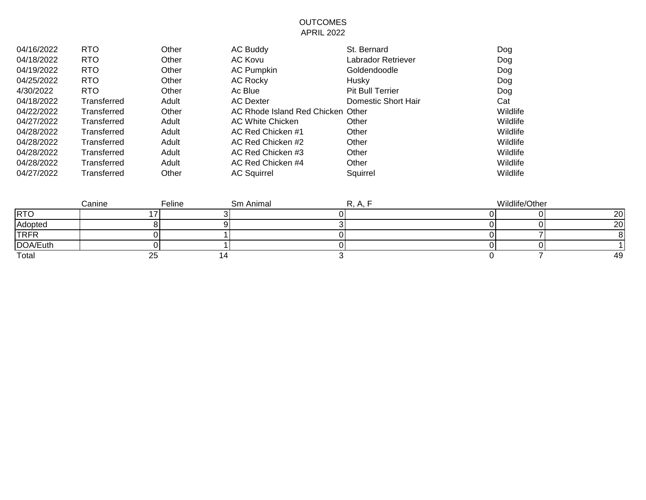## OUTCOMES APRIL 2022

| 04/16/2022 | <b>RTO</b>  | Other | <b>AC Buddy</b>                   | St. Bernard             | Dog      |
|------------|-------------|-------|-----------------------------------|-------------------------|----------|
| 04/18/2022 | <b>RTO</b>  | Other | AC Kovu                           | Labrador Retriever      | Dog      |
| 04/19/2022 | <b>RTO</b>  | Other | <b>AC Pumpkin</b>                 | Goldendoodle            | Dog      |
| 04/25/2022 | <b>RTO</b>  | Other | <b>AC Rocky</b>                   | Husky                   | Dog      |
| 4/30/2022  | <b>RTO</b>  | Other | Ac Blue                           | <b>Pit Bull Terrier</b> | Dog      |
| 04/18/2022 | Transferred | Adult | <b>AC Dexter</b>                  | Domestic Short Hair     | Cat      |
| 04/22/2022 | Transferred | Other | AC Rhode Island Red Chicken Other |                         | Wildlife |
| 04/27/2022 | Transferred | Adult | <b>AC White Chicken</b>           | Other                   | Wildlife |
| 04/28/2022 | Transferred | Adult | AC Red Chicken #1                 | Other                   | Wildlife |
| 04/28/2022 | Transferred | Adult | AC Red Chicken #2                 | Other                   | Wildlife |
| 04/28/2022 | Transferred | Adult | AC Red Chicken #3                 | Other                   | Wildlife |
| 04/28/2022 | Transferred | Adult | AC Red Chicken #4                 | Other                   | Wildlife |
| 04/27/2022 | Transferred | Other | <b>AC Squirrel</b>                | Squirrel                | Wildlife |

|             | Canine   | Feline | Sm Animal | D /<br>$\cdots$ | Wildlife/Other |    |
|-------------|----------|--------|-----------|-----------------|----------------|----|
| <b>RTO</b>  |          |        |           |                 |                | 20 |
| Adopted     |          |        |           |                 |                | 20 |
| <b>TRFR</b> |          |        |           |                 |                |    |
| DOA/Euth    |          |        |           |                 |                |    |
| Total       | ~~<br>∠∪ |        |           |                 |                | 49 |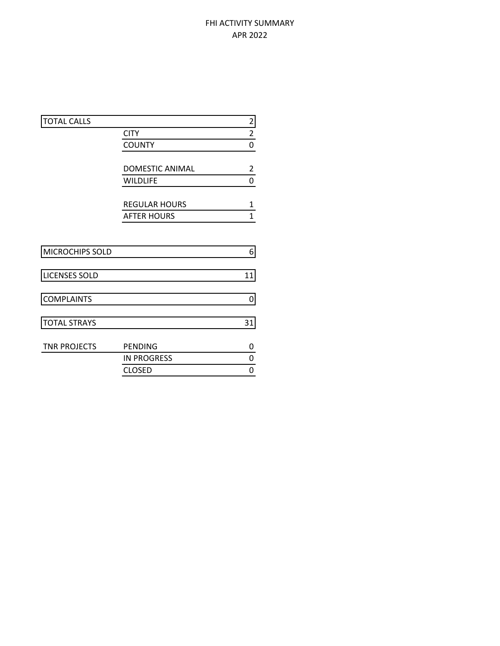# FHI ACTIVITY SUMMARY APR 2022

| <b>TOTAL CALLS</b>   |                        | $\overline{c}$          |
|----------------------|------------------------|-------------------------|
|                      | <b>CITY</b>            | $\overline{\mathbf{c}}$ |
|                      | <b>COUNTY</b>          | $\overline{0}$          |
|                      |                        |                         |
|                      | <b>DOMESTIC ANIMAL</b> | $\overline{2}$          |
|                      | <b>WILDLIFE</b>        | 0                       |
|                      |                        |                         |
|                      | <b>REGULAR HOURS</b>   | 1                       |
|                      | <b>AFTER HOURS</b>     | $\mathbf{1}$            |
|                      |                        |                         |
|                      |                        |                         |
| MICROCHIPS SOLD      |                        | 6                       |
|                      |                        |                         |
| <b>LICENSES SOLD</b> |                        | 11                      |
|                      |                        |                         |
| <b>COMPLAINTS</b>    |                        | 0                       |
|                      |                        |                         |
| <b>TOTAL STRAYS</b>  |                        | 31                      |
|                      |                        |                         |
| <b>TNR PROJECTS</b>  | <b>PENDING</b>         | 0                       |
|                      | <b>IN PROGRESS</b>     | 0                       |
|                      | <b>CLOSED</b>          | 0                       |